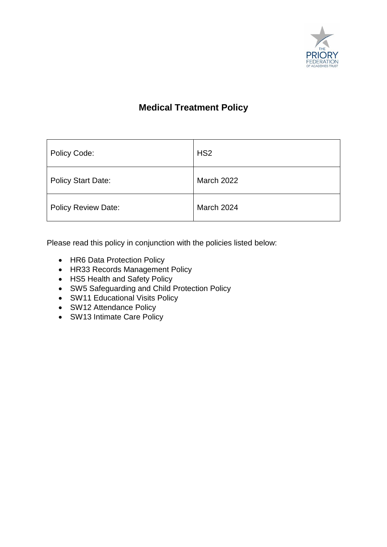

# **Medical Treatment Policy**

| Policy Code:               | HS <sub>2</sub>   |
|----------------------------|-------------------|
| <b>Policy Start Date:</b>  | <b>March 2022</b> |
| <b>Policy Review Date:</b> | <b>March 2024</b> |

Please read this policy in conjunction with the policies listed below:

- HR6 Data Protection Policy
- HR33 Records Management Policy
- HS5 Health and Safety Policy
- SW5 Safeguarding and Child Protection Policy
- SW11 Educational Visits Policy
- SW12 Attendance Policy
- SW13 Intimate Care Policy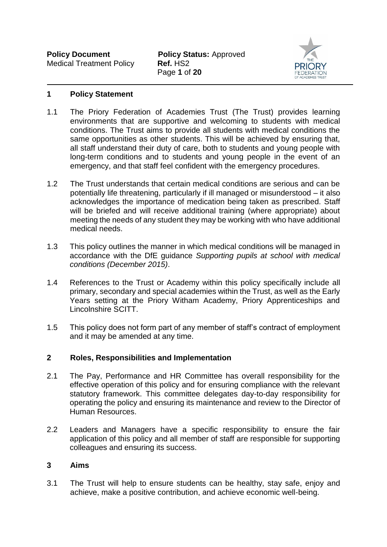

## **1 Policy Statement**

- 1.1 The Priory Federation of Academies Trust (The Trust) provides learning environments that are supportive and welcoming to students with medical conditions. The Trust aims to provide all students with medical conditions the same opportunities as other students. This will be achieved by ensuring that, all staff understand their duty of care, both to students and young people with long-term conditions and to students and young people in the event of an emergency, and that staff feel confident with the emergency procedures.
- 1.2 The Trust understands that certain medical conditions are serious and can be potentially life threatening, particularly if ill managed or misunderstood – it also acknowledges the importance of medication being taken as prescribed. Staff will be briefed and will receive additional training (where appropriate) about meeting the needs of any student they may be working with who have additional medical needs.
- 1.3 This policy outlines the manner in which medical conditions will be managed in accordance with the DfE guidance *Supporting pupils at school with medical conditions (December 2015)*.
- 1.4 References to the Trust or Academy within this policy specifically include all primary, secondary and special academies within the Trust, as well as the Early Years setting at the Priory Witham Academy, Priory Apprenticeships and Lincolnshire SCITT.
- 1.5 This policy does not form part of any member of staff's contract of employment and it may be amended at any time.

## **2 Roles, Responsibilities and Implementation**

- 2.1 The Pay, Performance and HR Committee has overall responsibility for the effective operation of this policy and for ensuring compliance with the relevant statutory framework. This committee delegates day-to-day responsibility for operating the policy and ensuring its maintenance and review to the Director of Human Resources.
- 2.2 Leaders and Managers have a specific responsibility to ensure the fair application of this policy and all member of staff are responsible for supporting colleagues and ensuring its success.

## **3 Aims**

3.1 The Trust will help to ensure students can be healthy, stay safe, enjoy and achieve, make a positive contribution, and achieve economic well-being.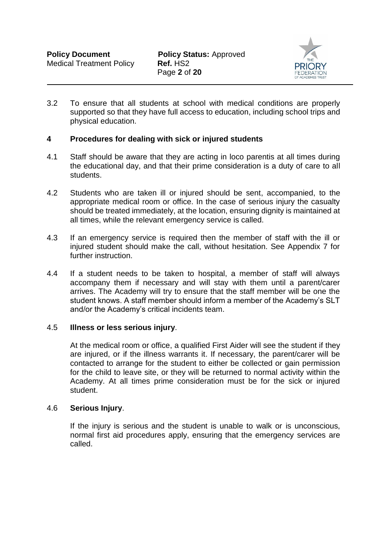

3.2 To ensure that all students at school with medical conditions are properly supported so that they have full access to education, including school trips and physical education.

# **4 Procedures for dealing with sick or injured students**

- 4.1 Staff should be aware that they are acting in loco parentis at all times during the educational day, and that their prime consideration is a duty of care to all students.
- 4.2 Students who are taken ill or injured should be sent, accompanied, to the appropriate medical room or office. In the case of serious injury the casualty should be treated immediately, at the location, ensuring dignity is maintained at all times, while the relevant emergency service is called.
- 4.3 If an emergency service is required then the member of staff with the ill or injured student should make the call, without hesitation. See Appendix 7 for further instruction.
- 4.4 If a student needs to be taken to hospital, a member of staff will always accompany them if necessary and will stay with them until a parent/carer arrives. The Academy will try to ensure that the staff member will be one the student knows. A staff member should inform a member of the Academy's SLT and/or the Academy's critical incidents team.

## 4.5 **Illness or less serious injury**.

At the medical room or office, a qualified First Aider will see the student if they are injured, or if the illness warrants it. If necessary, the parent/carer will be contacted to arrange for the student to either be collected or gain permission for the child to leave site, or they will be returned to normal activity within the Academy. At all times prime consideration must be for the sick or injured student.

## 4.6 **Serious Injury**.

If the injury is serious and the student is unable to walk or is unconscious, normal first aid procedures apply, ensuring that the emergency services are called.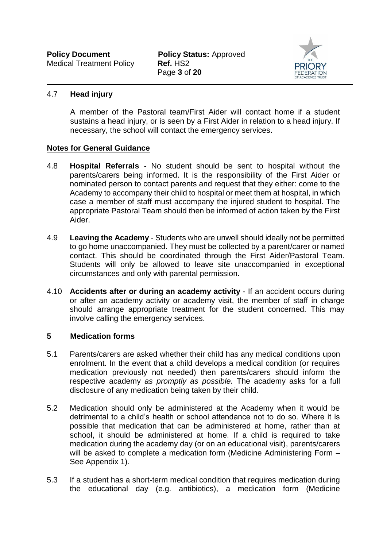

# 4.7 **Head injury**

A member of the Pastoral team/First Aider will contact home if a student sustains a head injury, or is seen by a First Aider in relation to a head injury. If necessary, the school will contact the emergency services.

# **Notes for General Guidance**

- 4.8 **Hospital Referrals -** No student should be sent to hospital without the parents/carers being informed. It is the responsibility of the First Aider or nominated person to contact parents and request that they either: come to the Academy to accompany their child to hospital or meet them at hospital, in which case a member of staff must accompany the injured student to hospital. The appropriate Pastoral Team should then be informed of action taken by the First Aider.
- 4.9 **Leaving the Academy** Students who are unwell should ideally not be permitted to go home unaccompanied. They must be collected by a parent/carer or named contact. This should be coordinated through the First Aider/Pastoral Team. Students will only be allowed to leave site unaccompanied in exceptional circumstances and only with parental permission.
- 4.10 **Accidents after or during an academy activity** If an accident occurs during or after an academy activity or academy visit, the member of staff in charge should arrange appropriate treatment for the student concerned. This may involve calling the emergency services.

# **5 Medication forms**

- 5.1 Parents/carers are asked whether their child has any medical conditions upon enrolment. In the event that a child develops a medical condition (or requires medication previously not needed) then parents/carers should inform the respective academy *as promptly as possible.* The academy asks for a full disclosure of any medication being taken by their child.
- 5.2 Medication should only be administered at the Academy when it would be detrimental to a child's health or school attendance not to do so. Where it is possible that medication that can be administered at home, rather than at school, it should be administered at home. If a child is required to take medication during the academy day (or on an educational visit), parents/carers will be asked to complete a medication form (Medicine Administering Form – See Appendix 1).
- 5.3 If a student has a short-term medical condition that requires medication during the educational day (e.g. antibiotics), a medication form (Medicine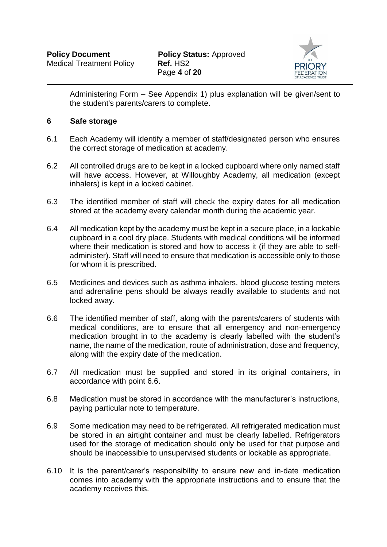

Administering Form – See Appendix 1) plus explanation will be given/sent to the student's parents/carers to complete.

# **6 Safe storage**

- 6.1 Each Academy will identify a member of staff/designated person who ensures the correct storage of medication at academy.
- 6.2 All controlled drugs are to be kept in a locked cupboard where only named staff will have access. However, at Willoughby Academy, all medication (except inhalers) is kept in a locked cabinet.
- 6.3 The identified member of staff will check the expiry dates for all medication stored at the academy every calendar month during the academic year.
- 6.4 All medication kept by the academy must be kept in a secure place, in a lockable cupboard in a cool dry place. Students with medical conditions will be informed where their medication is stored and how to access it (if they are able to selfadminister). Staff will need to ensure that medication is accessible only to those for whom it is prescribed.
- 6.5 Medicines and devices such as asthma inhalers, blood glucose testing meters and adrenaline pens should be always readily available to students and not locked away.
- 6.6 The identified member of staff, along with the parents/carers of students with medical conditions, are to ensure that all emergency and non-emergency medication brought in to the academy is clearly labelled with the student's name, the name of the medication, route of administration, dose and frequency, along with the expiry date of the medication.
- 6.7 All medication must be supplied and stored in its original containers, in accordance with point 6.6.
- 6.8 Medication must be stored in accordance with the manufacturer's instructions, paying particular note to temperature.
- 6.9 Some medication may need to be refrigerated. All refrigerated medication must be stored in an airtight container and must be clearly labelled. Refrigerators used for the storage of medication should only be used for that purpose and should be inaccessible to unsupervised students or lockable as appropriate.
- 6.10 It is the parent/carer's responsibility to ensure new and in-date medication comes into academy with the appropriate instructions and to ensure that the academy receives this.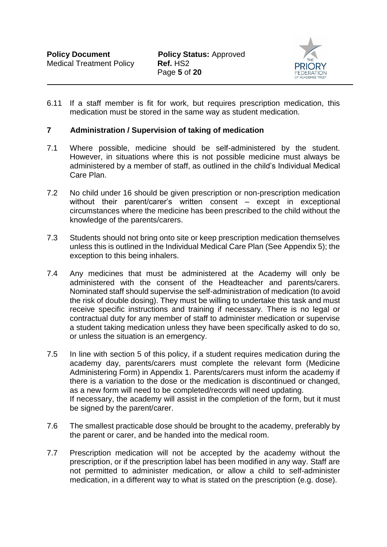

6.11 If a staff member is fit for work, but requires prescription medication, this medication must be stored in the same way as student medication.

# **7 Administration / Supervision of taking of medication**

- 7.1 Where possible, medicine should be self-administered by the student. However, in situations where this is not possible medicine must always be administered by a member of staff, as outlined in the child's Individual Medical Care Plan.
- 7.2 No child under 16 should be given prescription or non-prescription medication without their parent/carer's written consent – except in exceptional circumstances where the medicine has been prescribed to the child without the knowledge of the parents/carers.
- 7.3 Students should not bring onto site or keep prescription medication themselves unless this is outlined in the Individual Medical Care Plan (See Appendix 5); the exception to this being inhalers.
- 7.4 Any medicines that must be administered at the Academy will only be administered with the consent of the Headteacher and parents/carers. Nominated staff should supervise the self-administration of medication (to avoid the risk of double dosing). They must be willing to undertake this task and must receive specific instructions and training if necessary. There is no legal or contractual duty for any member of staff to administer medication or supervise a student taking medication unless they have been specifically asked to do so, or unless the situation is an emergency.
- 7.5 In line with section 5 of this policy, if a student requires medication during the academy day, parents/carers must complete the relevant form (Medicine Administering Form) in Appendix 1. Parents/carers must inform the academy if there is a variation to the dose or the medication is discontinued or changed, as a new form will need to be completed/records will need updating. If necessary, the academy will assist in the completion of the form, but it must be signed by the parent/carer.
- 7.6 The smallest practicable dose should be brought to the academy, preferably by the parent or carer, and be handed into the medical room.
- 7.7 Prescription medication will not be accepted by the academy without the prescription, or if the prescription label has been modified in any way. Staff are not permitted to administer medication, or allow a child to self-administer medication, in a different way to what is stated on the prescription (e.g. dose).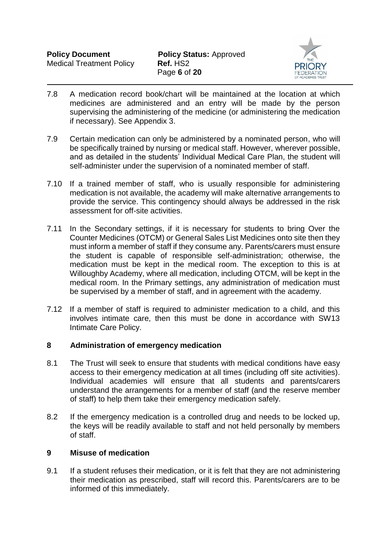

- 7.8 A medication record book/chart will be maintained at the location at which medicines are administered and an entry will be made by the person supervising the administering of the medicine (or administering the medication if necessary). See Appendix 3.
- 7.9 Certain medication can only be administered by a nominated person, who will be specifically trained by nursing or medical staff. However, wherever possible, and as detailed in the students' Individual Medical Care Plan, the student will self-administer under the supervision of a nominated member of staff.
- 7.10 If a trained member of staff, who is usually responsible for administering medication is not available, the academy will make alternative arrangements to provide the service. This contingency should always be addressed in the risk assessment for off-site activities.
- 7.11 In the Secondary settings, if it is necessary for students to bring Over the Counter Medicines (OTCM) or General Sales List Medicines onto site then they must inform a member of staff if they consume any. Parents/carers must ensure the student is capable of responsible self-administration; otherwise, the medication must be kept in the medical room. The exception to this is at Willoughby Academy, where all medication, including OTCM, will be kept in the medical room. In the Primary settings, any administration of medication must be supervised by a member of staff, and in agreement with the academy.
- 7.12 If a member of staff is required to administer medication to a child, and this involves intimate care, then this must be done in accordance with SW13 Intimate Care Policy.

# **8 Administration of emergency medication**

- 8.1 The Trust will seek to ensure that students with medical conditions have easy access to their emergency medication at all times (including off site activities). Individual academies will ensure that all students and parents/carers understand the arrangements for a member of staff (and the reserve member of staff) to help them take their emergency medication safely.
- 8.2 If the emergency medication is a controlled drug and needs to be locked up, the keys will be readily available to staff and not held personally by members of staff.

# **9 Misuse of medication**

9.1 If a student refuses their medication, or it is felt that they are not administering their medication as prescribed, staff will record this. Parents/carers are to be informed of this immediately.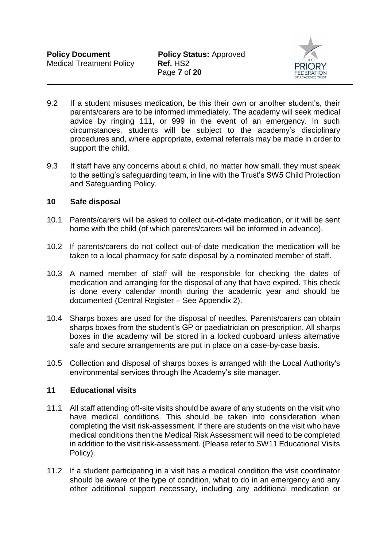

- 9.2 If a student misuses medication, be this their own or another student's, their parents/carers are to be informed immediately. The academy will seek medical advice by ringing 111, or 999 in the event of an emergency. In such circumstances, students will be subject to the academy's disciplinary procedures and, where appropriate, external referrals may be made in order to support the child.
- 9.3 If staff have any concerns about a child, no matter how small, they must speak to the setting's safeguarding team, in line with the Trust's SW5 Child Protection and Safeguarding Policy.

# **10 Safe disposal**

- 10.1 Parents/carers will be asked to collect out-of-date medication, or it will be sent home with the child (of which parents/carers will be informed in advance).
- 10.2 If parents/carers do not collect out-of-date medication the medication will be taken to a local pharmacy for safe disposal by a nominated member of staff.
- 10.3 A named member of staff will be responsible for checking the dates of medication and arranging for the disposal of any that have expired. This check is done every calendar month during the academic year and should be documented (Central Register – See Appendix 2).
- 10.4 Sharps boxes are used for the disposal of needles. Parents/carers can obtain sharps boxes from the student's GP or paediatrician on prescription. All sharps boxes in the academy will be stored in a locked cupboard unless alternative safe and secure arrangements are put in place on a case-by-case basis.
- 10.5 Collection and disposal of sharps boxes is arranged with the Local Authority's environmental services through the Academy's site manager.

## **11 Educational visits**

- 11.1 All staff attending off-site visits should be aware of any students on the visit who have medical conditions. This should be taken into consideration when completing the visit risk-assessment. If there are students on the visit who have medical conditions then the Medical Risk Assessment will need to be completed in addition to the visit risk-assessment. (Please refer to SW11 Educational Visits Policy).
- 11.2 If a student participating in a visit has a medical condition the visit coordinator should be aware of the type of condition, what to do in an emergency and any other additional support necessary, including any additional medication or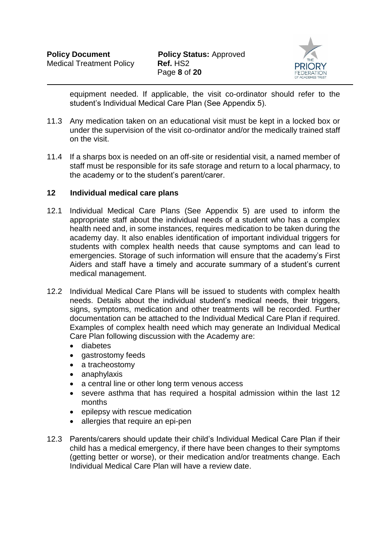

equipment needed. If applicable, the visit co-ordinator should refer to the student's Individual Medical Care Plan (See Appendix 5).

- 11.3 Any medication taken on an educational visit must be kept in a locked box or under the supervision of the visit co-ordinator and/or the medically trained staff on the visit.
- 11.4 If a sharps box is needed on an off-site or residential visit, a named member of staff must be responsible for its safe storage and return to a local pharmacy, to the academy or to the student's parent/carer.

# **12 Individual medical care plans**

- 12.1 Individual Medical Care Plans (See Appendix 5) are used to inform the appropriate staff about the individual needs of a student who has a complex health need and, in some instances, requires medication to be taken during the academy day. It also enables identification of important individual triggers for students with complex health needs that cause symptoms and can lead to emergencies. Storage of such information will ensure that the academy's First Aiders and staff have a timely and accurate summary of a student's current medical management.
- 12.2 Individual Medical Care Plans will be issued to students with complex health needs. Details about the individual student's medical needs, their triggers, signs, symptoms, medication and other treatments will be recorded. Further documentation can be attached to the Individual Medical Care Plan if required. Examples of complex health need which may generate an Individual Medical Care Plan following discussion with the Academy are:
	- diabetes
	- gastrostomy feeds
	- a tracheostomy
	- anaphylaxis
	- a central line or other long term venous access
	- severe asthma that has required a hospital admission within the last 12 months
	- epilepsy with rescue medication
	- allergies that require an epi-pen
- 12.3 Parents/carers should update their child's Individual Medical Care Plan if their child has a medical emergency, if there have been changes to their symptoms (getting better or worse), or their medication and/or treatments change. Each Individual Medical Care Plan will have a review date.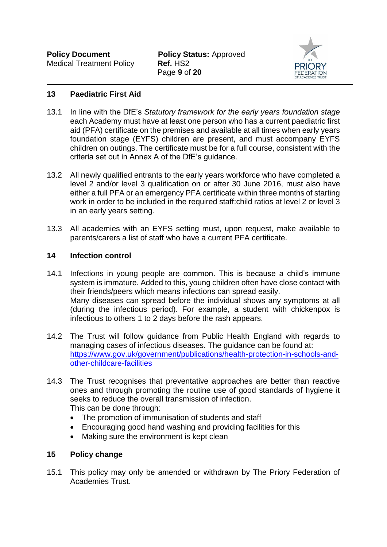Page **9** of **20**



# **13 Paediatric First Aid**

- 13.1 In line with the DfE's *Statutory framework for the early years foundation stage* each Academy must have at least one person who has a current paediatric first aid (PFA) certificate on the premises and available at all times when early years foundation stage (EYFS) children are present, and must accompany EYFS children on outings. The certificate must be for a full course, consistent with the criteria set out in Annex A of the DfE's guidance.
- 13.2 All newly qualified entrants to the early years workforce who have completed a level 2 and/or level 3 qualification on or after 30 June 2016, must also have either a full PFA or an emergency PFA certificate within three months of starting work in order to be included in the required staff:child ratios at level 2 or level 3 in an early years setting.
- 13.3 All academies with an EYFS setting must, upon request, make available to parents/carers a list of staff who have a current PFA certificate.

# **14 Infection control**

- 14.1 Infections in young people are common. This is because a child's immune system is immature. Added to this, young children often have close contact with their friends/peers which means infections can spread easily. Many diseases can spread before the individual shows any symptoms at all (during the infectious period). For example, a student with chickenpox is infectious to others 1 to 2 days before the rash appears.
- 14.2 The Trust will follow guidance from Public Health England with regards to managing cases of infectious diseases. The guidance can be found at: [https://www.gov.uk/government/publications/health-protection-in-schools-and](https://www.gov.uk/government/publications/health-protection-in-schools-and-other-childcare-facilities)[other-childcare-facilities](https://www.gov.uk/government/publications/health-protection-in-schools-and-other-childcare-facilities)
- 14.3 The Trust recognises that preventative approaches are better than reactive ones and through promoting the routine use of good standards of hygiene it seeks to reduce the overall transmission of infection. This can be done through:
	- The promotion of immunisation of students and staff
	- Encouraging good hand washing and providing facilities for this
	- Making sure the environment is kept clean

# **15 Policy change**

15.1 This policy may only be amended or withdrawn by The Priory Federation of Academies Trust.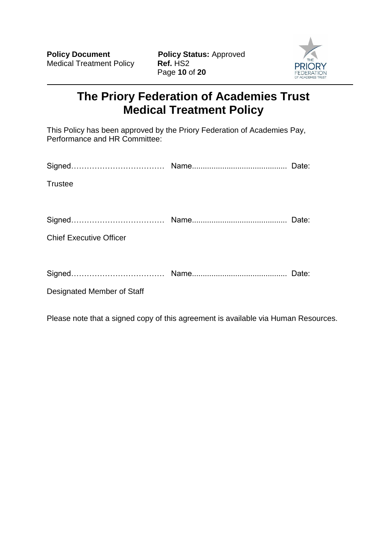Page **10** of **20**



# **The Priory Federation of Academies Trust Medical Treatment Policy**

This Policy has been approved by the Priory Federation of Academies Pay, Performance and HR Committee:

| <b>Trustee</b>                 |       |
|--------------------------------|-------|
|                                |       |
|                                |       |
| <b>Chief Executive Officer</b> |       |
|                                |       |
|                                | Date: |
| Designated Member of Staff     |       |

Please note that a signed copy of this agreement is available via Human Resources.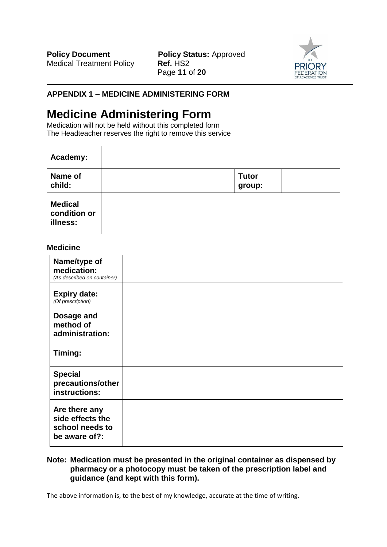**Policy Document Policy Status: Approved** Page **11** of **20**



# **APPENDIX 1 – MEDICINE ADMINISTERING FORM**

# **Medicine Administering Form**

Medication will not be held without this completed form The Headteacher reserves the right to remove this service

| Academy:                                   |                        |  |
|--------------------------------------------|------------------------|--|
| Name of<br>child:                          | <b>Tutor</b><br>group: |  |
| <b>Medical</b><br>condition or<br>illness: |                        |  |

## **Medicine**

| Name/type of<br>medication:<br>(As described on container)            |  |
|-----------------------------------------------------------------------|--|
| <b>Expiry date:</b><br>(Of prescription)                              |  |
| Dosage and<br>method of<br>administration:                            |  |
| Timing:                                                               |  |
| <b>Special</b><br>precautions/other<br>instructions:                  |  |
| Are there any<br>side effects the<br>school needs to<br>be aware of?: |  |

#### **Note: Medication must be presented in the original container as dispensed by pharmacy or a photocopy must be taken of the prescription label and guidance (and kept with this form).**

The above information is, to the best of my knowledge, accurate at the time of writing.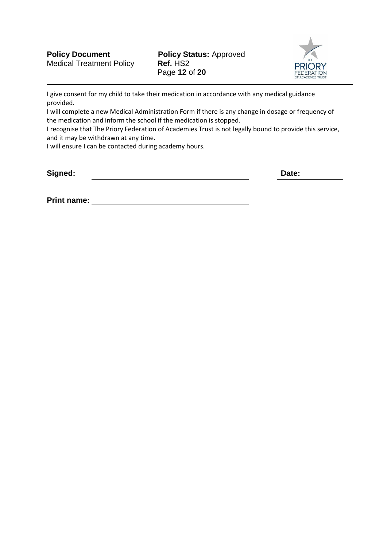

I give consent for my child to take their medication in accordance with any medical guidance provided.

I will complete a new Medical Administration Form if there is any change in dosage or frequency of the medication and inform the school if the medication is stopped.

I recognise that The Priory Federation of Academies Trust is not legally bound to provide this service, and it may be withdrawn at any time.

I will ensure I can be contacted during academy hours.

**Signed: Date:**

**Print name:**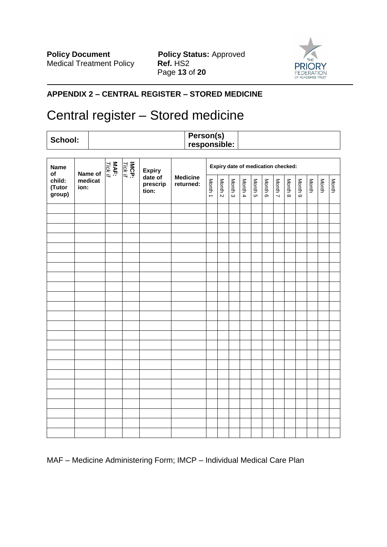**Policy Document Policy Status:** Approved Medical Treatment Policy **Ref. HS2** Page **13** of **20**



# **APPENDIX 2 – CENTRAL REGISTER – STORED MEDICINE**

# Central register – Stored medicine

# **School: Person(s) responsible:**

| <b>Name</b><br>of          | Name of         | MAF:<br>Tick if | <b>IMCP:</b><br>Tick if | <b>Expiry</b>                |                              |         |         |         |         |         |         | Expiry date of medication checked: |         |         |       |       |       |
|----------------------------|-----------------|-----------------|-------------------------|------------------------------|------------------------------|---------|---------|---------|---------|---------|---------|------------------------------------|---------|---------|-------|-------|-------|
| child:<br>(Tutor<br>group) | medicat<br>ion: |                 |                         | date of<br>prescrip<br>tion: | <b>Medicine</b><br>returned: | Month 1 | Month 2 | Month 3 | Month 4 | Month 5 | Month 6 | Month 7                            | Month 8 | Month 9 | Month | Month | Month |
|                            |                 |                 |                         |                              |                              |         |         |         |         |         |         |                                    |         |         |       |       |       |
|                            |                 |                 |                         |                              |                              |         |         |         |         |         |         |                                    |         |         |       |       |       |
|                            |                 |                 |                         |                              |                              |         |         |         |         |         |         |                                    |         |         |       |       |       |
|                            |                 |                 |                         |                              |                              |         |         |         |         |         |         |                                    |         |         |       |       |       |
|                            |                 |                 |                         |                              |                              |         |         |         |         |         |         |                                    |         |         |       |       |       |
|                            |                 |                 |                         |                              |                              |         |         |         |         |         |         |                                    |         |         |       |       |       |
|                            |                 |                 |                         |                              |                              |         |         |         |         |         |         |                                    |         |         |       |       |       |
|                            |                 |                 |                         |                              |                              |         |         |         |         |         |         |                                    |         |         |       |       |       |
|                            |                 |                 |                         |                              |                              |         |         |         |         |         |         |                                    |         |         |       |       |       |
|                            |                 |                 |                         |                              |                              |         |         |         |         |         |         |                                    |         |         |       |       |       |
|                            |                 |                 |                         |                              |                              |         |         |         |         |         |         |                                    |         |         |       |       |       |
|                            |                 |                 |                         |                              |                              |         |         |         |         |         |         |                                    |         |         |       |       |       |
|                            |                 |                 |                         |                              |                              |         |         |         |         |         |         |                                    |         |         |       |       |       |
|                            |                 |                 |                         |                              |                              |         |         |         |         |         |         |                                    |         |         |       |       |       |
|                            |                 |                 |                         |                              |                              |         |         |         |         |         |         |                                    |         |         |       |       |       |
|                            |                 |                 |                         |                              |                              |         |         |         |         |         |         |                                    |         |         |       |       |       |
|                            |                 |                 |                         |                              |                              |         |         |         |         |         |         |                                    |         |         |       |       |       |
|                            |                 |                 |                         |                              |                              |         |         |         |         |         |         |                                    |         |         |       |       |       |
|                            |                 |                 |                         |                              |                              |         |         |         |         |         |         |                                    |         |         |       |       |       |
|                            |                 |                 |                         |                              |                              |         |         |         |         |         |         |                                    |         |         |       |       |       |
|                            |                 |                 |                         |                              |                              |         |         |         |         |         |         |                                    |         |         |       |       |       |
|                            |                 |                 |                         |                              |                              |         |         |         |         |         |         |                                    |         |         |       |       |       |
|                            |                 |                 |                         |                              |                              |         |         |         |         |         |         |                                    |         |         |       |       |       |
|                            |                 |                 |                         |                              |                              |         |         |         |         |         |         |                                    |         |         |       |       |       |

# MAF – Medicine Administering Form; IMCP – Individual Medical Care Plan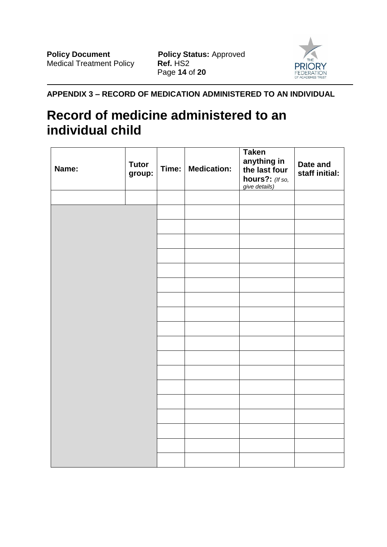

**APPENDIX 3 – RECORD OF MEDICATION ADMINISTERED TO AN INDIVIDUAL**

# **Record of medicine administered to an individual child**

| Name: | <b>Tutor</b><br>group: | Time: | <b>Medication:</b> | <b>Taken</b><br>anything in<br>the last four<br>hours?: (If so,<br>give details) | Date and<br>staff initial: |
|-------|------------------------|-------|--------------------|----------------------------------------------------------------------------------|----------------------------|
|       |                        |       |                    |                                                                                  |                            |
|       |                        |       |                    |                                                                                  |                            |
|       |                        |       |                    |                                                                                  |                            |
|       |                        |       |                    |                                                                                  |                            |
|       |                        |       |                    |                                                                                  |                            |
|       |                        |       |                    |                                                                                  |                            |
|       |                        |       |                    |                                                                                  |                            |
|       |                        |       |                    |                                                                                  |                            |
|       |                        |       |                    |                                                                                  |                            |
|       |                        |       |                    |                                                                                  |                            |
|       |                        |       |                    |                                                                                  |                            |
|       |                        |       |                    |                                                                                  |                            |
|       |                        |       |                    |                                                                                  |                            |
|       |                        |       |                    |                                                                                  |                            |
|       |                        |       |                    |                                                                                  |                            |
|       |                        |       |                    |                                                                                  |                            |
|       |                        |       |                    |                                                                                  |                            |
|       |                        |       |                    |                                                                                  |                            |
|       |                        |       |                    |                                                                                  |                            |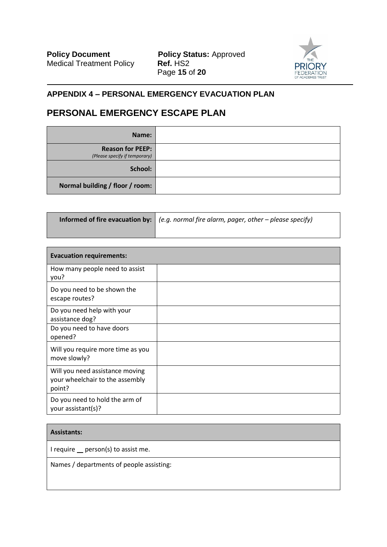**Policy Document Policy Status:** Approved Medical Treatment Policy **Ref. HS2** Page **15** of **20**



# **APPENDIX 4 – PERSONAL EMERGENCY EVACUATION PLAN**

# **PERSONAL EMERGENCY ESCAPE PLAN**

| Name:                                                    |  |
|----------------------------------------------------------|--|
| <b>Reason for PEEP:</b><br>(Please specify if temporary) |  |
| School:                                                  |  |
| Normal building / floor / room:                          |  |

| <b>Informed of fire evacuation by:</b> $ $ (e.g. normal fire alarm, pager, other – please specify) |
|----------------------------------------------------------------------------------------------------|
|                                                                                                    |

| <b>Evacuation requirements:</b>                                              |  |
|------------------------------------------------------------------------------|--|
| How many people need to assist<br>you?                                       |  |
| Do you need to be shown the<br>escape routes?                                |  |
| Do you need help with your<br>assistance dog?                                |  |
| Do you need to have doors<br>opened?                                         |  |
| Will you require more time as you<br>move slowly?                            |  |
| Will you need assistance moving<br>your wheelchair to the assembly<br>point? |  |
| Do you need to hold the arm of<br>your assistant(s)?                         |  |

#### **Assistants:**

I require  $\equiv$  person(s) to assist me.

Names / departments of people assisting: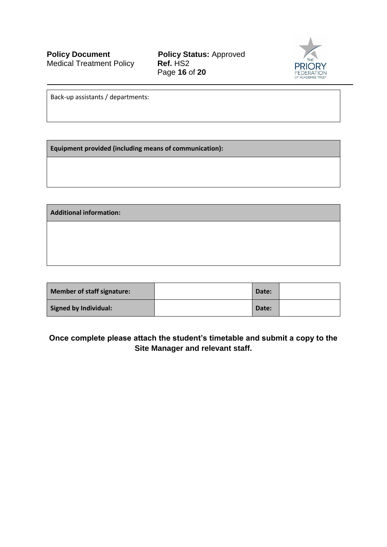**Policy Document Policy Status:** Approved Medical Treatment Policy **Ref.** HS2 Page **16** of **20**



Back-up assistants / departments:

**Equipment provided (including means of communication):**

**Additional information:**

| <b>Member of staff signature:</b> | Date: |  |
|-----------------------------------|-------|--|
| <b>Signed by Individual:</b>      | Date: |  |

**Once complete please attach the student's timetable and submit a copy to the Site Manager and relevant staff.**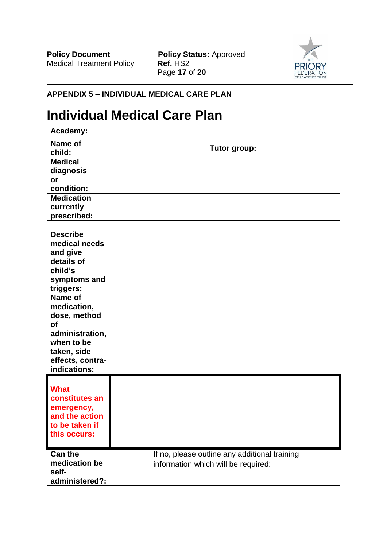**Policy Document Policy Status:** Approved Medical Treatment Policy **Ref.** HS2 Page **17** of **20**



┑

# **APPENDIX 5 – INDIVIDUAL MEDICAL CARE PLAN**

# **Individual Medical Care Plan**

| Academy:                          |                                               |
|-----------------------------------|-----------------------------------------------|
| Name of<br>child:                 | Tutor group:                                  |
| <b>Medical</b><br>diagnosis<br>or |                                               |
| condition:                        |                                               |
| <b>Medication</b>                 |                                               |
| currently                         |                                               |
| prescribed:                       |                                               |
| <b>Describe</b><br>medical needs  |                                               |
| and give<br>details of            |                                               |
| child's                           |                                               |
| symptoms and                      |                                               |
| triggers:                         |                                               |
| <b>Name of</b>                    |                                               |
| medication,                       |                                               |
| dose, method                      |                                               |
| of                                |                                               |
| administration,                   |                                               |
| when to be                        |                                               |
| taken, side                       |                                               |
| effects, contra-                  |                                               |
| indications:                      |                                               |
| <b>What</b><br>constitutes an     |                                               |
| emergency,                        |                                               |
| and the action                    |                                               |
| to be taken if                    |                                               |
| this occurs:                      |                                               |
|                                   |                                               |
| <b>Can the</b>                    | If no, please outline any additional training |
| medication be                     | information which will be required:           |
| self-                             |                                               |
| administered?:                    |                                               |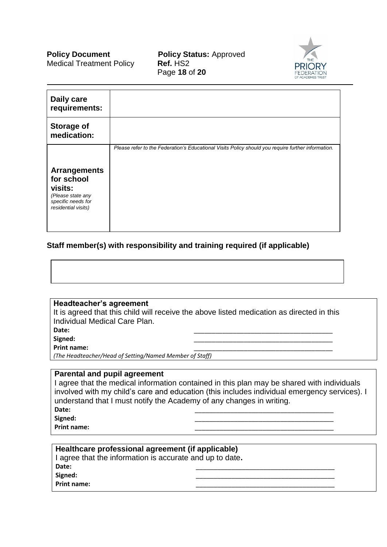Medical Treatment Policy **Ref.** HS2

**Policy Document Policy Status: Approved** Page **18** of **20**



| Daily care<br>requirements:                                                                                    |                                                                                                    |
|----------------------------------------------------------------------------------------------------------------|----------------------------------------------------------------------------------------------------|
| <b>Storage of</b><br>medication:                                                                               |                                                                                                    |
| <b>Arrangements</b><br>for school<br>visits:<br>(Please state any<br>specific needs for<br>residential visits) | Please refer to the Federation's Educational Visits Policy should you require further information. |

# **Staff member(s) with responsibility and training required (if applicable)**

**Headteacher's agreement**

It is agreed that this child will receive the above listed medication as directed in this Individual Medical Care Plan.

**Date:** \_\_\_\_\_\_\_\_\_\_\_\_\_\_\_\_\_\_\_\_\_\_\_\_\_\_\_\_\_\_\_\_\_\_\_\_\_\_\_

**Signed:** \_\_\_\_\_\_\_\_\_\_\_\_\_\_\_\_\_\_\_\_\_\_\_\_\_\_\_\_\_\_\_\_\_\_\_\_\_\_\_

**Print name:** 

*(The Headteacher/Head of Setting/Named Member of Staff)*

#### **Parental and pupil agreement**

I agree that the medical information contained in this plan may be shared with individuals involved with my child's care and education (this includes individual emergency services). I understand that I must notify the Academy of any changes in writing. **Date:** \_\_\_\_\_\_\_\_\_\_\_\_\_\_\_\_\_\_\_\_\_\_\_\_\_\_\_\_\_\_\_\_\_\_\_\_\_\_\_

**Signed:** \_\_\_\_\_\_\_\_\_\_\_\_\_\_\_\_\_\_\_\_\_\_\_\_\_\_\_\_\_\_\_\_\_\_\_\_\_\_\_

**Print name:** 

| Healthcare professional agreement (if applicable)        |  |  |  |
|----------------------------------------------------------|--|--|--|
| I agree that the information is accurate and up to date. |  |  |  |
| Date:                                                    |  |  |  |
| Signed:                                                  |  |  |  |
| <b>Print name:</b>                                       |  |  |  |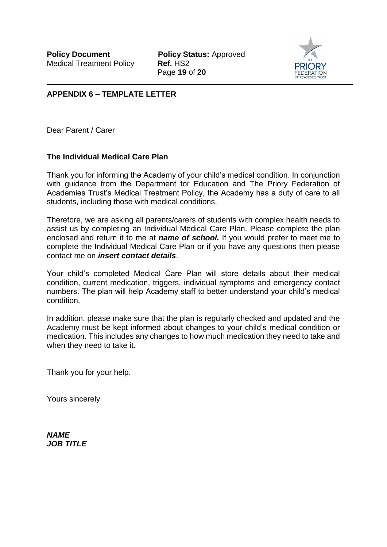**Policy Document Policy Status: Approved** Page **19** of **20**



# **APPENDIX 6 – TEMPLATE LETTER**

Dear Parent / Carer

# **The Individual Medical Care Plan**

Thank you for informing the Academy of your child's medical condition. In conjunction with guidance from the Department for Education and The Priory Federation of Academies Trust's Medical Treatment Policy, the Academy has a duty of care to all students, including those with medical conditions.

Therefore, we are asking all parents/carers of students with complex health needs to assist us by completing an Individual Medical Care Plan. Please complete the plan enclosed and return it to me at *name of school.* If you would prefer to meet me to complete the Individual Medical Care Plan or if you have any questions then please contact me on *insert contact details*.

Your child's completed Medical Care Plan will store details about their medical condition, current medication, triggers, individual symptoms and emergency contact numbers. The plan will help Academy staff to better understand your child's medical condition.

In addition, please make sure that the plan is regularly checked and updated and the Academy must be kept informed about changes to your child's medical condition or medication. This includes any changes to how much medication they need to take and when they need to take it.

Thank you for your help.

Yours sincerely

*NAME JOB TITLE*